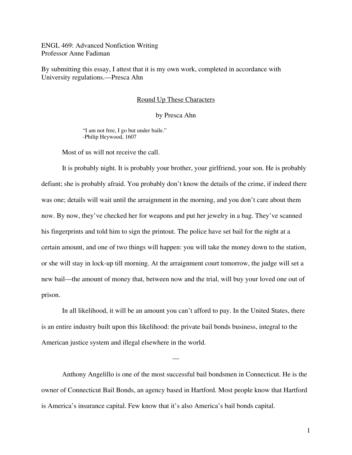ENGL 469: Advanced Nonfiction Writing Professor Anne Fadiman

By submitting this essay, I attest that it is my own work, completed in accordance with University regulations.—Presca Ahn

## Round Up These Characters

## by Presca Ahn

"I am not free, I go but under baile." -Philip Heywood, 1607

Most of us will not receive the call.

 It is probably night. It is probably your brother, your girlfriend, your son. He is probably defiant; she is probably afraid. You probably don't know the details of the crime, if indeed there was one; details will wait until the arraignment in the morning, and you don't care about them now. By now, they've checked her for weapons and put her jewelry in a bag. They've scanned his fingerprints and told him to sign the printout. The police have set bail for the night at a certain amount, and one of two things will happen: you will take the money down to the station, or she will stay in lock-up till morning. At the arraignment court tomorrow, the judge will set a new bail—the amount of money that, between now and the trial, will buy your loved one out of prison.

 In all likelihood, it will be an amount you can't afford to pay. In the United States, there is an entire industry built upon this likelihood: the private bail bonds business, integral to the American justice system and illegal elsewhere in the world.

 Anthony Angelillo is one of the most successful bail bondsmen in Connecticut. He is the owner of Connecticut Bail Bonds, an agency based in Hartford. Most people know that Hartford is America's insurance capital. Few know that it's also America's bail bonds capital.

—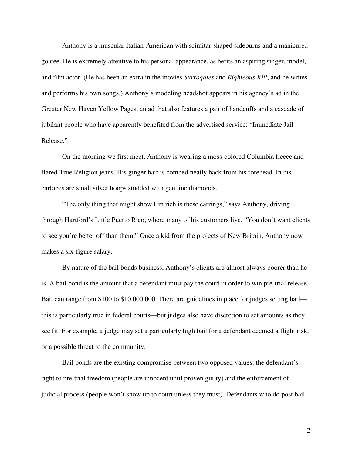Anthony is a muscular Italian-American with scimitar-shaped sideburns and a manicured goatee. He is extremely attentive to his personal appearance, as befits an aspiring singer, model, and film actor. (He has been an extra in the movies *Surrogates* and *Righteous Kill*, and he writes and performs his own songs.) Anthony's modeling headshot appears in his agency's ad in the Greater New Haven Yellow Pages, an ad that also features a pair of handcuffs and a cascade of jubilant people who have apparently benefited from the advertised service: "Immediate Jail Release."

 On the morning we first meet, Anthony is wearing a moss-colored Columbia fleece and flared True Religion jeans. His ginger hair is combed neatly back from his forehead. In his earlobes are small silver hoops studded with genuine diamonds.

 "The only thing that might show I'm rich is these earrings," says Anthony, driving through Hartford's Little Puerto Rico, where many of his customers live. "You don't want clients to see you're better off than them." Once a kid from the projects of New Britain, Anthony now makes a six-figure salary.

 By nature of the bail bonds business, Anthony's clients are almost always poorer than he is. A bail bond is the amount that a defendant must pay the court in order to win pre-trial release. Bail can range from \$100 to \$10,000,000. There are guidelines in place for judges setting bail this is particularly true in federal courts—but judges also have discretion to set amounts as they see fit. For example, a judge may set a particularly high bail for a defendant deemed a flight risk, or a possible threat to the community.

 Bail bonds are the existing compromise between two opposed values: the defendant's right to pre-trial freedom (people are innocent until proven guilty) and the enforcement of judicial process (people won't show up to court unless they must). Defendants who do post bail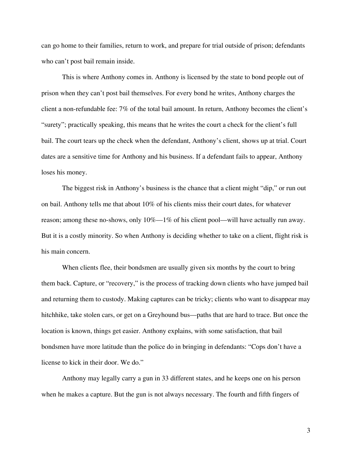can go home to their families, return to work, and prepare for trial outside of prison; defendants who can't post bail remain inside.

 This is where Anthony comes in. Anthony is licensed by the state to bond people out of prison when they can't post bail themselves. For every bond he writes, Anthony charges the client a non-refundable fee: 7% of the total bail amount. In return, Anthony becomes the client's "surety"; practically speaking, this means that he writes the court a check for the client's full bail. The court tears up the check when the defendant, Anthony's client, shows up at trial. Court dates are a sensitive time for Anthony and his business. If a defendant fails to appear, Anthony loses his money.

 The biggest risk in Anthony's business is the chance that a client might "dip," or run out on bail. Anthony tells me that about 10% of his clients miss their court dates, for whatever reason; among these no-shows, only 10%—1% of his client pool—will have actually run away. But it is a costly minority. So when Anthony is deciding whether to take on a client, flight risk is his main concern.

 When clients flee, their bondsmen are usually given six months by the court to bring them back. Capture, or "recovery," is the process of tracking down clients who have jumped bail and returning them to custody. Making captures can be tricky; clients who want to disappear may hitchhike, take stolen cars, or get on a Greyhound bus—paths that are hard to trace. But once the location is known, things get easier. Anthony explains, with some satisfaction, that bail bondsmen have more latitude than the police do in bringing in defendants: "Cops don't have a license to kick in their door. We do."

Anthony may legally carry a gun in 33 different states, and he keeps one on his person when he makes a capture. But the gun is not always necessary. The fourth and fifth fingers of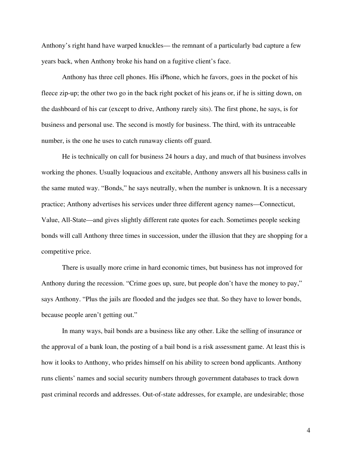Anthony's right hand have warped knuckles— the remnant of a particularly bad capture a few years back, when Anthony broke his hand on a fugitive client's face.

 Anthony has three cell phones. His iPhone, which he favors, goes in the pocket of his fleece zip-up; the other two go in the back right pocket of his jeans or, if he is sitting down, on the dashboard of his car (except to drive, Anthony rarely sits). The first phone, he says, is for business and personal use. The second is mostly for business. The third, with its untraceable number, is the one he uses to catch runaway clients off guard.

 He is technically on call for business 24 hours a day, and much of that business involves working the phones. Usually loquacious and excitable, Anthony answers all his business calls in the same muted way. "Bonds," he says neutrally, when the number is unknown. It is a necessary practice; Anthony advertises his services under three different agency names—Connecticut, Value, All-State—and gives slightly different rate quotes for each. Sometimes people seeking bonds will call Anthony three times in succession, under the illusion that they are shopping for a competitive price.

 There is usually more crime in hard economic times, but business has not improved for Anthony during the recession. "Crime goes up, sure, but people don't have the money to pay," says Anthony. "Plus the jails are flooded and the judges see that. So they have to lower bonds, because people aren't getting out."

 In many ways, bail bonds are a business like any other. Like the selling of insurance or the approval of a bank loan, the posting of a bail bond is a risk assessment game. At least this is how it looks to Anthony, who prides himself on his ability to screen bond applicants. Anthony runs clients' names and social security numbers through government databases to track down past criminal records and addresses. Out-of-state addresses, for example, are undesirable; those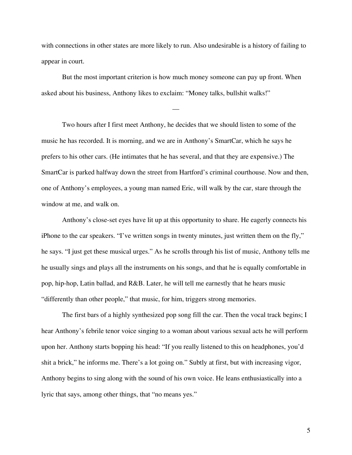with connections in other states are more likely to run. Also undesirable is a history of failing to appear in court.

But the most important criterion is how much money someone can pay up front. When asked about his business, Anthony likes to exclaim: "Money talks, bullshit walks!"

—

 Two hours after I first meet Anthony, he decides that we should listen to some of the music he has recorded. It is morning, and we are in Anthony's SmartCar, which he says he prefers to his other cars. (He intimates that he has several, and that they are expensive.) The SmartCar is parked halfway down the street from Hartford's criminal courthouse. Now and then, one of Anthony's employees, a young man named Eric, will walk by the car, stare through the window at me, and walk on.

 Anthony's close-set eyes have lit up at this opportunity to share. He eagerly connects his iPhone to the car speakers. "I've written songs in twenty minutes, just written them on the fly," he says. "I just get these musical urges." As he scrolls through his list of music, Anthony tells me he usually sings and plays all the instruments on his songs, and that he is equally comfortable in pop, hip-hop, Latin ballad, and R&B. Later, he will tell me earnestly that he hears music "differently than other people," that music, for him, triggers strong memories.

 The first bars of a highly synthesized pop song fill the car. Then the vocal track begins; I hear Anthony's febrile tenor voice singing to a woman about various sexual acts he will perform upon her. Anthony starts bopping his head: "If you really listened to this on headphones, you'd shit a brick," he informs me. There's a lot going on." Subtly at first, but with increasing vigor, Anthony begins to sing along with the sound of his own voice. He leans enthusiastically into a lyric that says, among other things, that "no means yes."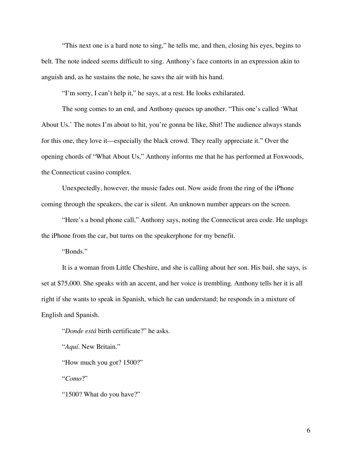"This next one is a hard note to sing," he tells me, and then, closing his eyes, begins to belt. The note indeed seems difficult to sing. Anthony's face contorts in an expression akin to anguish and, as he sustains the note, he saws the air with his hand.

"I'm sorry, I can't help it," he says, at a rest. He looks exhilarated.

 The song comes to an end, and Anthony queues up another. "This one's called 'What About Us.' The notes I'm about to hit, you're gonna be like, Shit! The audience always stands for this one, they love it—especially the black crowd. They really appreciate it." Over the opening chords of "What About Us," Anthony informs me that he has performed at Foxwoods, the Connecticut casino complex.

 Unexpectedly, however, the music fades out. Now aside from the ring of the iPhone coming through the speakers, the car is silent. An unknown number appears on the screen.

 "Here's a bond phone call," Anthony says, noting the Connecticut area code. He unplugs the iPhone from the car, but turns on the speakerphone for my benefit.

"Bonds."

 It is a woman from Little Cheshire, and she is calling about her son. His bail, she says, is set at \$75,000. She speaks with an accent, and her voice is trembling. Anthony tells her it is all right if she wants to speak in Spanish, which he can understand; he responds in a mixture of English and Spanish.

"*Donde está* birth certificate?" he asks.

"*Aquí*. New Britain."

"How much you got? 1500?"

"*Como*?"

"1500? What do you have?"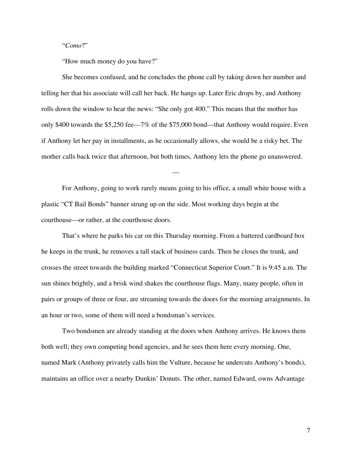## "*Como*?"

"How much money do you have?"

 She becomes confused, and he concludes the phone call by taking down her number and telling her that his associate will call her back. He hangs up. Later Eric drops by, and Anthony rolls down the window to hear the news: "She only got 400." This means that the mother has only \$400 towards the \$5,250 fee—7% of the \$75,000 bond—that Anthony would require. Even if Anthony let her pay in installments, as he occasionally allows, she would be a risky bet. The mother calls back twice that afternoon, but both times, Anthony lets the phone go unanswered.

 For Anthony, going to work rarely means going to his office, a small white house with a plastic "CT Bail Bonds" banner strung up on the side. Most working days begin at the courthouse—or rather, at the courthouse doors.

—

 That's where he parks his car on this Thursday morning. From a battered cardboard box he keeps in the trunk, he removes a tall stack of business cards. Then he closes the trunk, and crosses the street towards the building marked "Connecticut Superior Court." It is 9:45 a.m. The sun shines brightly, and a brisk wind shakes the courthouse flags. Many, many people, often in pairs or groups of three or four, are streaming towards the doors for the morning arraignments. In an hour or two, some of them will need a bondsman's services.

 Two bondsmen are already standing at the doors when Anthony arrives. He knows them both well; they own competing bond agencies, and he sees them here every morning. One, named Mark (Anthony privately calls him the Vulture, because he undercuts Anthony's bonds), maintains an office over a nearby Dunkin' Donuts. The other, named Edward, owns Advantage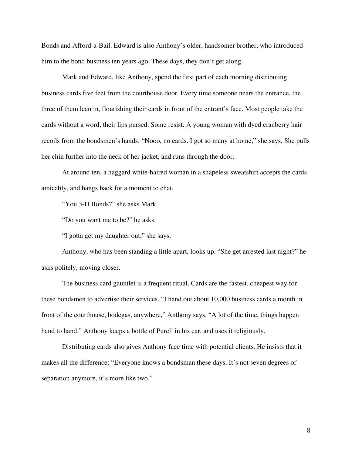Bonds and Afford-a-Bail. Edward is also Anthony's older, handsomer brother, who introduced him to the bond business ten years ago. These days, they don't get along.

 Mark and Edward, like Anthony, spend the first part of each morning distributing business cards five feet from the courthouse door. Every time someone nears the entrance, the three of them lean in, flourishing their cards in front of the entrant's face. Most people take the cards without a word, their lips pursed. Some resist. A young woman with dyed cranberry hair recoils from the bondsmen's hands: "Nooo, no cards. I got so many at home," she says. She pulls her chin further into the neck of her jacket, and runs through the door.

 At around ten, a haggard white-haired woman in a shapeless sweatshirt accepts the cards amicably, and hangs back for a moment to chat.

"You 3-D Bonds?" she asks Mark.

"Do you want me to be?" he asks.

"I gotta get my daughter out," she says.

 Anthony, who has been standing a little apart, looks up. "She get arrested last night?" he asks politely, moving closer.

 The business card gauntlet is a frequent ritual. Cards are the fastest, cheapest way for these bondsmen to advertise their services. "I hand out about 10,000 business cards a month in front of the courthouse, bodegas, anywhere," Anthony says. "A lot of the time, things happen hand to hand." Anthony keeps a bottle of Purell in his car, and uses it religiously.

 Distributing cards also gives Anthony face time with potential clients. He insists that it makes all the difference: "Everyone knows a bondsman these days. It's not seven degrees of separation anymore, it's more like two."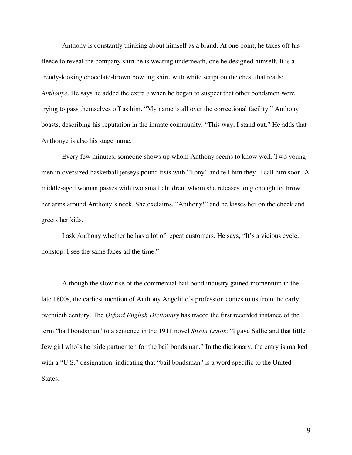Anthony is constantly thinking about himself as a brand. At one point, he takes off his fleece to reveal the company shirt he is wearing underneath, one he designed himself. It is a trendy-looking chocolate-brown bowling shirt, with white script on the chest that reads: *Anthonye*. He says he added the extra *e* when he began to suspect that other bondsmen were trying to pass themselves off as him. "My name is all over the correctional facility," Anthony boasts, describing his reputation in the inmate community. "This way, I stand out." He adds that Anthonye is also his stage name.

 Every few minutes, someone shows up whom Anthony seems to know well. Two young men in oversized basketball jerseys pound fists with "Tony" and tell him they'll call him soon. A middle-aged woman passes with two small children, whom she releases long enough to throw her arms around Anthony's neck. She exclaims, "Anthony!" and he kisses her on the cheek and greets her kids.

 I ask Anthony whether he has a lot of repeat customers. He says, "It's a vicious cycle, nonstop. I see the same faces all the time."

—

 Although the slow rise of the commercial bail bond industry gained momentum in the late 1800s, the earliest mention of Anthony Angelillo's profession comes to us from the early twentieth century. The *Oxford English Dictionary* has traced the first recorded instance of the term "bail bondsman" to a sentence in the 1911 novel *Susan Lenox*: "I gave Sallie and that little Jew girl who's her side partner ten for the bail bondsman." In the dictionary, the entry is marked with a "U.S." designation, indicating that "bail bondsman" is a word specific to the United States.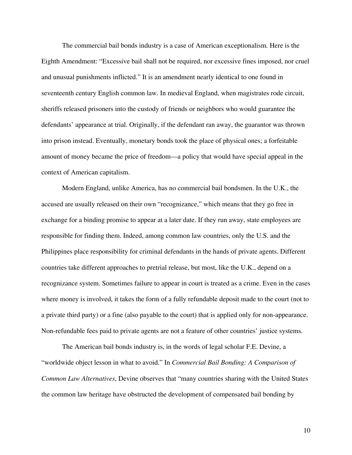The commercial bail bonds industry is a case of American exceptionalism. Here is the Eighth Amendment: "Excessive bail shall not be required, nor excessive fines imposed, nor cruel and unusual punishments inflicted." It is an amendment nearly identical to one found in seventeenth century English common law. In medieval England, when magistrates rode circuit, sheriffs released prisoners into the custody of friends or neighbors who would guarantee the defendants' appearance at trial. Originally, if the defendant ran away, the guarantor was thrown into prison instead. Eventually, monetary bonds took the place of physical ones; a forfeitable amount of money became the price of freedom—a policy that would have special appeal in the context of American capitalism.

 Modern England, unlike America, has no commercial bail bondsmen. In the U.K., the accused are usually released on their own "recognizance," which means that they go free in exchange for a binding promise to appear at a later date. If they run away, state employees are responsible for finding them. Indeed, among common law countries, only the U.S. and the Philippines place responsibility for criminal defendants in the hands of private agents. Different countries take different approaches to pretrial release, but most, like the U.K., depend on a recognizance system. Sometimes failure to appear in court is treated as a crime. Even in the cases where money is involved, it takes the form of a fully refundable deposit made to the court (not to a private third party) or a fine (also payable to the court) that is applied only for non-appearance. Non-refundable fees paid to private agents are not a feature of other countries' justice systems.

 The American bail bonds industry is, in the words of legal scholar F.E. Devine, a "worldwide object lesson in what to avoid." In *Commercial Bail Bonding: A Comparison of Common Law Alternatives*, Devine observes that "many countries sharing with the United States the common law heritage have obstructed the development of compensated bail bonding by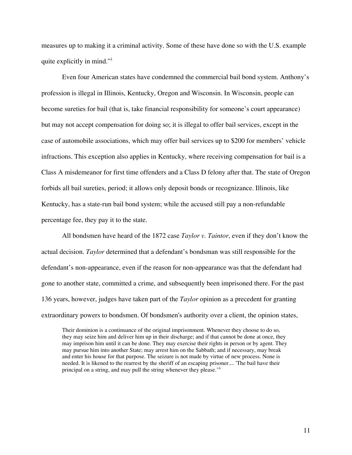measures up to making it a criminal activity. Some of these have done so with the U.S. example qu[i](#page-17-0)te explicitly in mind."

 Even four American states have condemned the commercial bail bond system. Anthony's profession is illegal in Illinois, Kentucky, Oregon and Wisconsin. In Wisconsin, people can become sureties for bail (that is, take financial responsibility for someone's court appearance) but may not accept compensation for doing so; it is illegal to offer bail services, except in the case of automobile associations, which may offer bail services up to \$200 for members' vehicle infractions. This exception also applies in Kentucky, where receiving compensation for bail is a Class A misdemeanor for first time offenders and a Class D felony after that. The state of Oregon forbids all bail sureties, period; it allows only deposit bonds or recognizance. Illinois, like Kentucky, has a state-run bail bond system; while the accused still pay a non-refundable percentage fee, they pay it to the state.

All bondsmen have heard of the 1872 case *Taylor v. Taintor*, even if they don't know the actual decision. *Taylor* determined that a defendant's bondsman was still responsible for the defendant's non-appearance, even if the reason for non-appearance was that the defendant had gone to another state, committed a crime, and subsequently been imprisoned there. For the past 136 years, however, judges have taken part of the *Taylor* opinion as a precedent for granting extraordinary powers to bondsmen. Of bondsmen's authority over a client, the opinion states,

Their dominion is a continuance of the original imprisonment. Whenever they choose to do so, they may seize him and deliver him up in their discharge; and if that cannot be done at once, they may imprison him until it can be done. They may exercise their rights in person or by agent. They may pursue him into another State; may arrest him on the Sabbath; and if necessary, may break and enter his house for that purpose. The seizure is not made by virtue of new process. None is needed. It is likened to the rearrest by the sheriff of an escaping prisoner.... 'The bail have their principal on a string, and may pull the string whenever they please.<sup>'[ii](#page-17-1)</sup>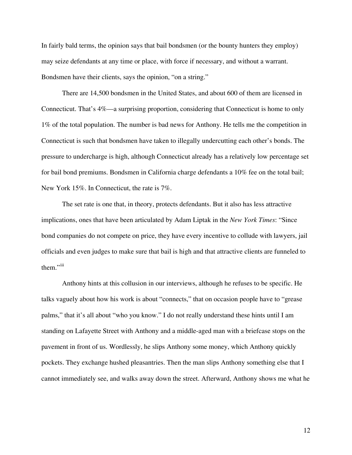In fairly bald terms, the opinion says that bail bondsmen (or the bounty hunters they employ) may seize defendants at any time or place, with force if necessary, and without a warrant. Bondsmen have their clients, says the opinion, "on a string."

There are 14,500 bondsmen in the United States, and about 600 of them are licensed in Connecticut. That's 4%—a surprising proportion, considering that Connecticut is home to only 1% of the total population. The number is bad news for Anthony. He tells me the competition in Connecticut is such that bondsmen have taken to illegally undercutting each other's bonds. The pressure to undercharge is high, although Connecticut already has a relatively low percentage set for bail bond premiums. Bondsmen in California charge defendants a 10% fee on the total bail; New York 15%. In Connecticut, the rate is 7%.

 The set rate is one that, in theory, protects defendants. But it also has less attractive implications, ones that have been articulated by Adam Liptak in the *New York Times*: "Since bond companies do not compete on price, they have every incentive to collude with lawyers, jail officials and even judges to make sure that bail is high and that attractive clients are funneled to them."<sup>[iii](#page-17-1)</sup>

 Anthony hints at this collusion in our interviews, although he refuses to be specific. He talks vaguely about how his work is about "connects," that on occasion people have to "grease palms," that it's all about "who you know." I do not really understand these hints until I am standing on Lafayette Street with Anthony and a middle-aged man with a briefcase stops on the pavement in front of us. Wordlessly, he slips Anthony some money, which Anthony quickly pockets. They exchange hushed pleasantries. Then the man slips Anthony something else that I cannot immediately see, and walks away down the street. Afterward, Anthony shows me what he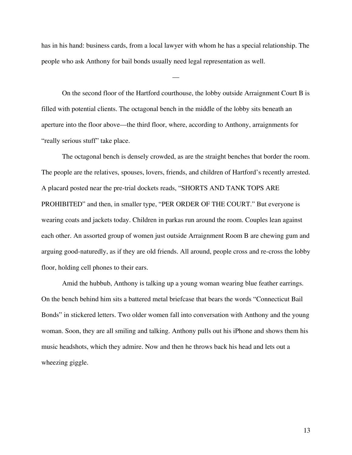has in his hand: business cards, from a local lawyer with whom he has a special relationship. The people who ask Anthony for bail bonds usually need legal representation as well.

—

 On the second floor of the Hartford courthouse, the lobby outside Arraignment Court B is filled with potential clients. The octagonal bench in the middle of the lobby sits beneath an aperture into the floor above—the third floor, where, according to Anthony, arraignments for "really serious stuff" take place.

 The octagonal bench is densely crowded, as are the straight benches that border the room. The people are the relatives, spouses, lovers, friends, and children of Hartford's recently arrested. A placard posted near the pre-trial dockets reads, "SHORTS AND TANK TOPS ARE PROHIBITED" and then, in smaller type, "PER ORDER OF THE COURT." But everyone is wearing coats and jackets today. Children in parkas run around the room. Couples lean against each other. An assorted group of women just outside Arraignment Room B are chewing gum and arguing good-naturedly, as if they are old friends. All around, people cross and re-cross the lobby floor, holding cell phones to their ears.

 Amid the hubbub, Anthony is talking up a young woman wearing blue feather earrings. On the bench behind him sits a battered metal briefcase that bears the words "Connecticut Bail Bonds" in stickered letters. Two older women fall into conversation with Anthony and the young woman. Soon, they are all smiling and talking. Anthony pulls out his iPhone and shows them his music headshots, which they admire. Now and then he throws back his head and lets out a wheezing giggle.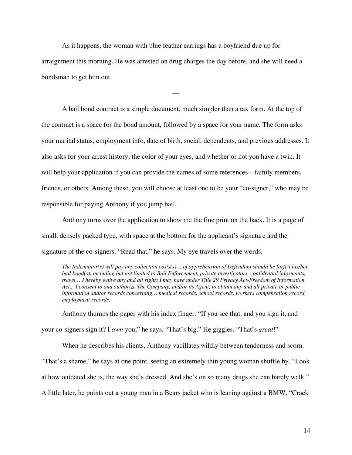As it happens, the woman with blue feather earrings has a boyfriend due up for arraignment this morning. He was arrested on drug charges the day before, and she will need a bondsman to get him out.

—

 A bail bond contract is a simple document, much simpler than a tax form. At the top of the contract is a space for the bond amount, followed by a space for your name. The form asks your marital status, employment info, date of birth, social, dependents, and previous addresses. It also asks for your arrest history, the color of your eyes, and whether or not you have a twin. It will help your application if you can provide the names of some references—family members, friends, or others. Among these, you will choose at least one to be your "co-signer," who may be responsible for paying Anthony if you jump bail.

 Anthony turns over the application to show me the fine print on the back. It is a page of small, densely packed type, with space at the bottom for the applicant's signature and the signature of the co-signers. "Read that," he says. My eye travels over the words.

*The Indemnitor(s) will pay any collection costs(s)… of apprehension of Defendant should he forfeit his/her bail bond(s), including but not limited to Bail Enforcement, private investigators, confidential informants, travel… I hereby waive any and all rights I may have under Title 29 Privacy Act-Freedom of Information Act... I consent to and authorize The Company, and/or its Agent, to obtain any and all private or public information and/or records concerning… medical records, school records, workers compensation record, employment records.* 

Anthony thumps the paper with his index finger. "If you see that, and you sign it, and

your co-signers sign it? I *own* you," he says. "That's big." He giggles. "That's *great*!"

 When he describes his clients, Anthony vacillates wildly between tenderness and scorn. "That's a shame," he says at one point, seeing an extremely thin young woman shuffle by. "Look at how outdated she is, the way she's dressed. And she's on so many drugs she can barely walk." A little later, he points out a young man in a Bears jacket who is leaning against a BMW. "Crack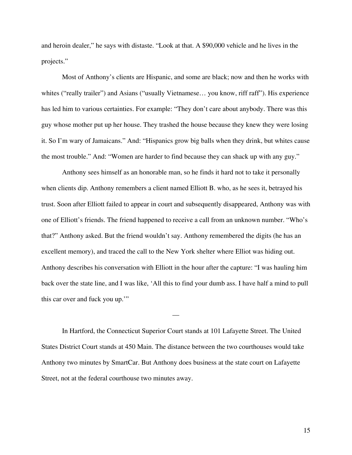and heroin dealer," he says with distaste. "Look at that. A \$90,000 vehicle and he lives in the projects."

 Most of Anthony's clients are Hispanic, and some are black; now and then he works with whites ("really trailer") and Asians ("usually Vietnamese... you know, riff raff"). His experience has led him to various certainties. For example: "They don't care about anybody. There was this guy whose mother put up her house. They trashed the house because they knew they were losing it. So I'm wary of Jamaicans." And: "Hispanics grow big balls when they drink, but whites cause the most trouble." And: "Women are harder to find because they can shack up with any guy."

 Anthony sees himself as an honorable man, so he finds it hard not to take it personally when clients dip. Anthony remembers a client named Elliott B. who, as he sees it, betrayed his trust. Soon after Elliott failed to appear in court and subsequently disappeared, Anthony was with one of Elliott's friends. The friend happened to receive a call from an unknown number. "Who's that?" Anthony asked. But the friend wouldn't say. Anthony remembered the digits (he has an excellent memory), and traced the call to the New York shelter where Elliot was hiding out. Anthony describes his conversation with Elliott in the hour after the capture: "I was hauling him back over the state line, and I was like, 'All this to find your dumb ass. I have half a mind to pull this car over and fuck you up.'"

In Hartford, the Connecticut Superior Court stands at 101 Lafayette Street. The United States District Court stands at 450 Main. The distance between the two courthouses would take Anthony two minutes by SmartCar. But Anthony does business at the state court on Lafayette Street, not at the federal courthouse two minutes away.

—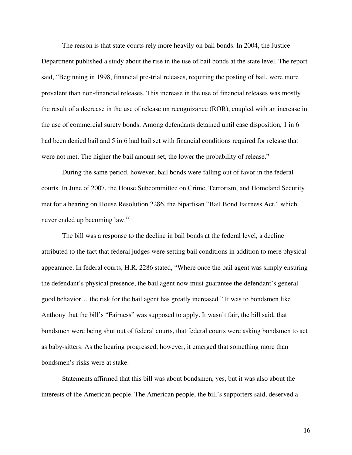The reason is that state courts rely more heavily on bail bonds. In 2004, the Justice Department published a study about the rise in the use of bail bonds at the state level. The report said, "Beginning in 1998, financial pre-trial releases, requiring the posting of bail, were more prevalent than non-financial releases. This increase in the use of financial releases was mostly the result of a decrease in the use of release on recognizance (ROR), coupled with an increase in the use of commercial surety bonds. Among defendants detained until case disposition, 1 in 6 had been denied bail and 5 in 6 had bail set with financial conditions required for release that were not met. The higher the bail amount set, the lower the probability of release."

During the same period, however, bail bonds were falling out of favor in the federal courts. In June of 2007, the House Subcommittee on Crime, Terrorism, and Homeland Security met for a hearing on House Resolution 2286, the bipartisan "Bail Bond Fairness Act," which never ended up becoming law.[iv](#page-17-1)

The bill was a response to the decline in bail bonds at the federal level, a decline attributed to the fact that federal judges were setting bail conditions in addition to mere physical appearance. In federal courts, H.R. 2286 stated, "Where once the bail agent was simply ensuring the defendant's physical presence, the bail agent now must guarantee the defendant's general good behavior… the risk for the bail agent has greatly increased." It was to bondsmen like Anthony that the bill's "Fairness" was supposed to apply. It wasn't fair, the bill said, that bondsmen were being shut out of federal courts, that federal courts were asking bondsmen to act as baby-sitters. As the hearing progressed, however, it emerged that something more than bondsmen's risks were at stake.

Statements affirmed that this bill was about bondsmen, yes, but it was also about the interests of the American people. The American people, the bill's supporters said, deserved a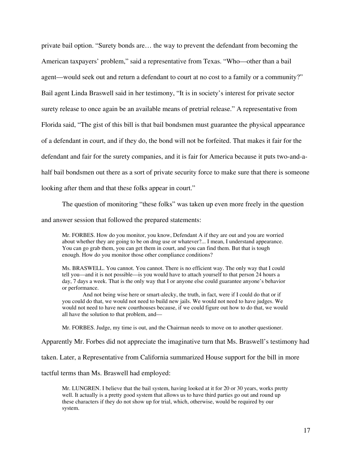private bail option. "Surety bonds are… the way to prevent the defendant from becoming the American taxpayers' problem," said a representative from Texas. "Who—other than a bail agent—would seek out and return a defendant to court at no cost to a family or a community?" Bail agent Linda Braswell said in her testimony, "It is in society's interest for private sector surety release to once again be an available means of pretrial release." A representative from Florida said, "The gist of this bill is that bail bondsmen must guarantee the physical appearance of a defendant in court, and if they do, the bond will not be forfeited. That makes it fair for the defendant and fair for the surety companies, and it is fair for America because it puts two-and-ahalf bail bondsmen out there as a sort of private security force to make sure that there is someone looking after them and that these folks appear in court."

The question of monitoring "these folks" was taken up even more freely in the question

and answer session that followed the prepared statements:

Mr. FORBES. How do you monitor, you know, Defendant A if they are out and you are worried about whether they are going to be on drug use or whatever?... I mean, I understand appearance. You can go grab them, you can get them in court, and you can find them. But that is tough enough. How do you monitor those other compliance conditions?

Ms. BRASWELL. You cannot. You cannot. There is no efficient way. The only way that I could tell you—and it is not possible—is you would have to attach yourself to that person 24 hours a day, 7 days a week. That is the only way that I or anyone else could guarantee anyone's behavior or performance.

 And not being wise here or smart-alecky, the truth, in fact, were if I could do that or if you could do that, we would not need to build new jails. We would not need to have judges. We would not need to have new courthouses because, if we could figure out how to do that, we would all have the solution to that problem, and—

Mr. FORBES. Judge, my time is out, and the Chairman needs to move on to another questioner.

Apparently Mr. Forbes did not appreciate the imaginative turn that Ms. Braswell's testimony had

taken. Later, a Representative from California summarized House support for the bill in more

tactful terms than Ms. Braswell had employed:

Mr. LUNGREN. I believe that the bail system, having looked at it for 20 or 30 years, works pretty well. It actually is a pretty good system that allows us to have third parties go out and round up these characters if they do not show up for trial, which, otherwise, would be required by our system.